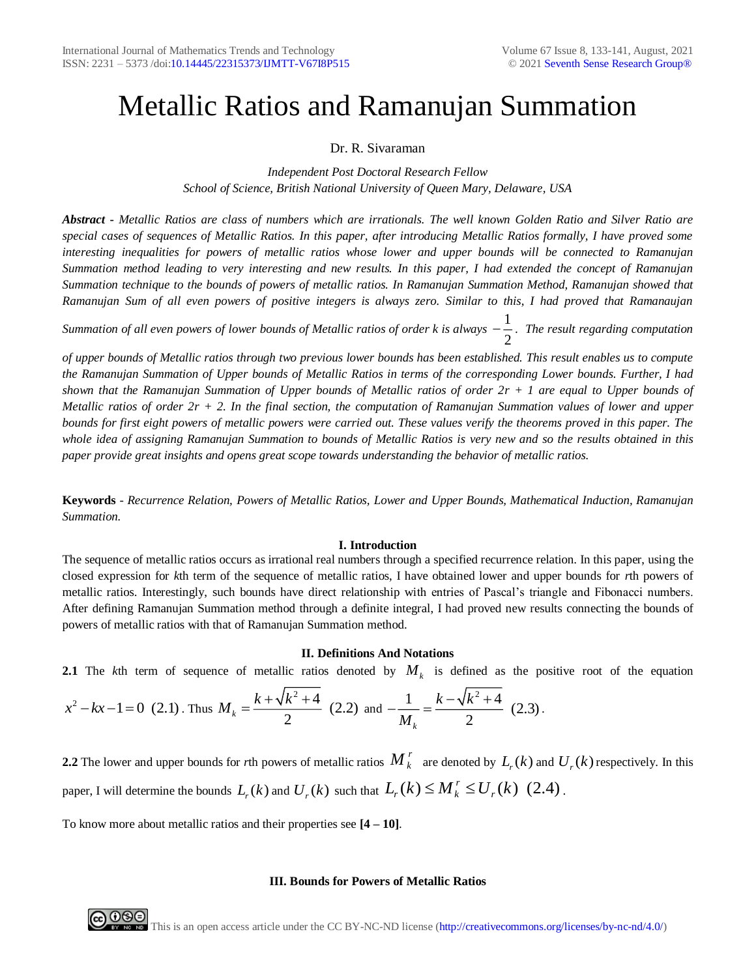# Metallic Ratios and Ramanujan Summation

## Dr. R. Sivaraman

*Independent Post Doctoral Research Fellow School of Science, British National University of Queen Mary, Delaware, USA*

*Abstract* **-** *Metallic Ratios are class of numbers which are irrationals. The well known Golden Ratio and Silver Ratio are special cases of sequences of Metallic Ratios. In this paper, after introducing Metallic Ratios formally, I have proved some interesting inequalities for powers of metallic ratios whose lower and upper bounds will be connected to Ramanujan Summation method leading to very interesting and new results. In this paper, I had extended the concept of Ramanujan Summation technique to the bounds of powers of metallic ratios. In Ramanujan Summation Method, Ramanujan showed that Ramanujan Sum of all even powers of positive integers is always zero. Similar to this, I had proved that Ramanaujan* 

*Summation of all even powers of lower bounds of Metallic ratios of order k is always*  $-\frac{1}{\epsilon}$  $-\frac{1}{2}$ . The result regarding computation

*of upper bounds of Metallic ratios through two previous lower bounds has been established. This result enables us to compute the Ramanujan Summation of Upper bounds of Metallic Ratios in terms of the corresponding Lower bounds. Further, I had shown that the Ramanujan Summation of Upper bounds of Metallic ratios of order 2r + 1 are equal to Upper bounds of Metallic ratios of order 2r + 2. In the final section, the computation of Ramanujan Summation values of lower and upper bounds for first eight powers of metallic powers were carried out. These values verify the theorems proved in this paper. The whole idea of assigning Ramanujan Summation to bounds of Metallic Ratios is very new and so the results obtained in this paper provide great insights and opens great scope towards understanding the behavior of metallic ratios.* 

**Keywords** - *Recurrence Relation, Powers of Metallic Ratios, Lower and Upper Bounds, Mathematical Induction, Ramanujan Summation.*

## **I. Introduction**

The sequence of metallic ratios occurs as irrational real numbers through a specified recurrence relation. In this paper, using the closed expression for *k*th term of the sequence of metallic ratios, I have obtained lower and upper bounds for *r*th powers of metallic ratios. Interestingly, such bounds have direct relationship with entries of Pascal's triangle and Fibonacci numbers. After defining Ramanujan Summation method through a definite integral, I had proved new results connecting the bounds of powers of metallic ratios with that of Ramanujan Summation method.

## **II. Definitions And Notations**

**2.1** The *k*th term of sequence of metallic ratios denoted by *M<sup>k</sup>* is defined as the positive root of the equation

$$
x^{2} - kx - 1 = 0
$$
 (2.1). Thus  $M_{k} = \frac{k + \sqrt{k^{2} + 4}}{2}$  (2.2) and  $-\frac{1}{M_{k}} = \frac{k - \sqrt{k^{2} + 4}}{2}$  (2.3).

2.2 The lower and upper bounds for rth powers of metallic ratios  $M_k^r$  are denoted by  $L_r(k)$  and  $U_r(k)$  respectively. In this paper, I will determine the bounds  $L_r(k)$  and  $U_r(k)$  such that  $L_r(k) \leq M_k^r \leq U_r(k)$  (2.4).

To know more about metallic ratios and their properties see **[4 – 10]**.

## **III. Bounds for Powers of Metallic Ratios**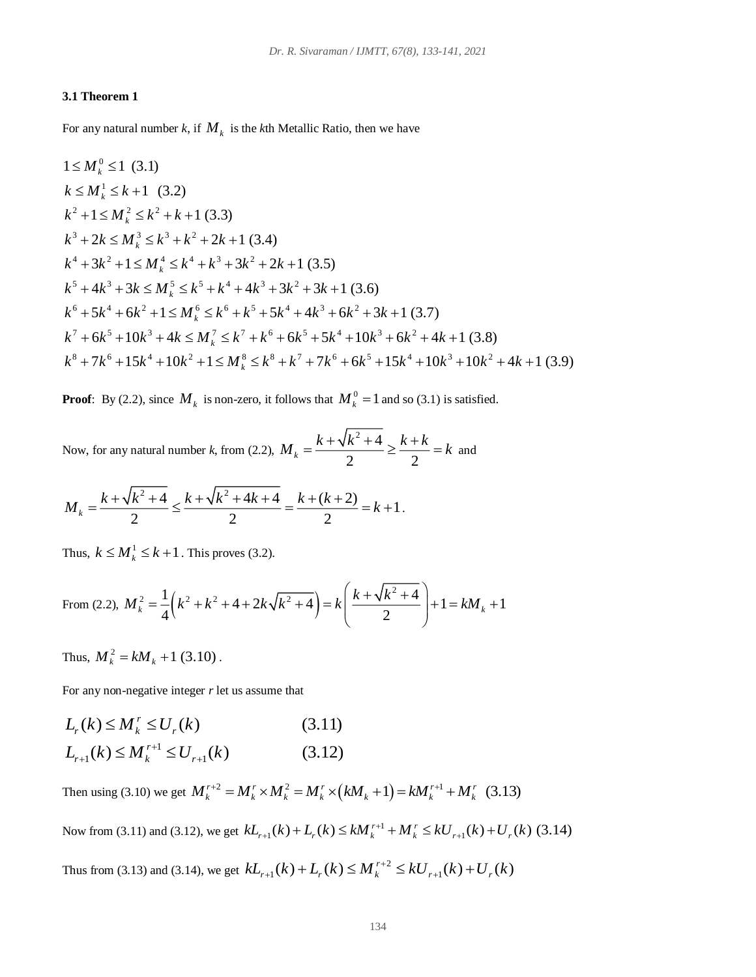## **3.1 Theorem 1**

For any natural number  $k$ , if  $M_k$  is the  $k$ th Metallic Ratio, then we have

$$
1 \leq M_k^0 \leq 1 \quad (3.1)
$$
  
\n
$$
k \leq M_k^1 \leq k + 1 \quad (3.2)
$$
  
\n
$$
k^2 + 1 \leq M_k^2 \leq k^2 + k + 1 \quad (3.3)
$$
  
\n
$$
k^3 + 2k \leq M_k^3 \leq k^3 + k^2 + 2k + 1 \quad (3.4)
$$
  
\n
$$
k^4 + 3k^2 + 1 \leq M_k^4 \leq k^4 + k^3 + 3k^2 + 2k + 1 \quad (3.5)
$$
  
\n
$$
k^5 + 4k^3 + 3k \leq M_k^5 \leq k^5 + k^4 + 4k^3 + 3k^2 + 3k + 1 \quad (3.6)
$$
  
\n
$$
k^6 + 5k^4 + 6k^2 + 1 \leq M_k^6 \leq k^6 + k^5 + 5k^4 + 4k^3 + 6k^2 + 3k + 1 \quad (3.7)
$$
  
\n
$$
k^7 + 6k^5 + 10k^3 + 4k \leq M_k^7 \leq k^7 + k^6 + 6k^5 + 5k^4 + 10k^3 + 6k^2 + 4k + 1 \quad (3.8)
$$
  
\n
$$
k^8 + 7k^6 + 15k^4 + 10k^2 + 1 \leq M_k^8 \leq k^8 + k^7 + 7k^6 + 6k^5 + 15k^4 + 10k^3 + 10k^2 + 4k + 1 \quad (3.9)
$$

**Proof**: By (2.2), since  $M_k$  is non-zero, it follows that  $M_k^0 = 1$  and so (3.1) is satisfied.

Now, for any natural number *k*, from (2.2),  $^{2}+4$  $k - 2 = 2$  $M_k = \frac{k + \sqrt{k^2 + 4}}{k} \ge \frac{k + k}{k} = k$  and

$$
M_k = \frac{k + \sqrt{k^2 + 4}}{2} \le \frac{k + \sqrt{k^2 + 4k + 4}}{2} = \frac{k + (k + 2)}{2} = k + 1.
$$

Thus,  $k \leq M_k^1 \leq k+1$ . This proves (3.2).

From (2.2), 
$$
M_k^2 = \frac{1}{4} \left( k^2 + k^2 + 4 + 2k\sqrt{k^2 + 4} \right) = k \left( \frac{k + \sqrt{k^2 + 4}}{2} \right) + 1 = kM_k + 1
$$

Thus,  $M_k^2 = kM_k + 1$  (3.10).

For any non-negative integer *r* let us assume that  
\n
$$
L_r(k) \le M_k^r \le U_r(k)
$$
\n(3.11)  
\n
$$
L_{r+1}(k) \le M_k^{r+1} \le U_{r+1}(k)
$$
\n(3.12)

 $L_{r+1}(k) \le M_k^{r+1} \le U_{r+1}(k)$  (3.12)<br>
Then using (3.10) we get  $M_k^{r+2} = M_k^r \times M_k^2 = M_k^r \times (kM_k + 1) = kM_k^{r+1} + M_k^r$  (3.13)  $H_k^1 \times M_k^2 = M_k^1 \times (kM_k + 1) = kM_k^{1/2} + M_k^1$  (3.13)<br>  $kL_{r+1}(k) + L_r(k) \leq kM_k^{r+1} + M_k^1 \leq kU_{r+1}(k) + U_r(k)$  (3.14)

Now from (3.11) and (3.12), we get  $kL_{r+1}(k) + L_r(k) \leq kM_r^{r+1}$ 

Thus from (3.13) and (3.14), we get  $kL_{r+1}(k) + L_r(k) \le M_k^{r+2} \le kU_{r+1}(k) + U_r(k)$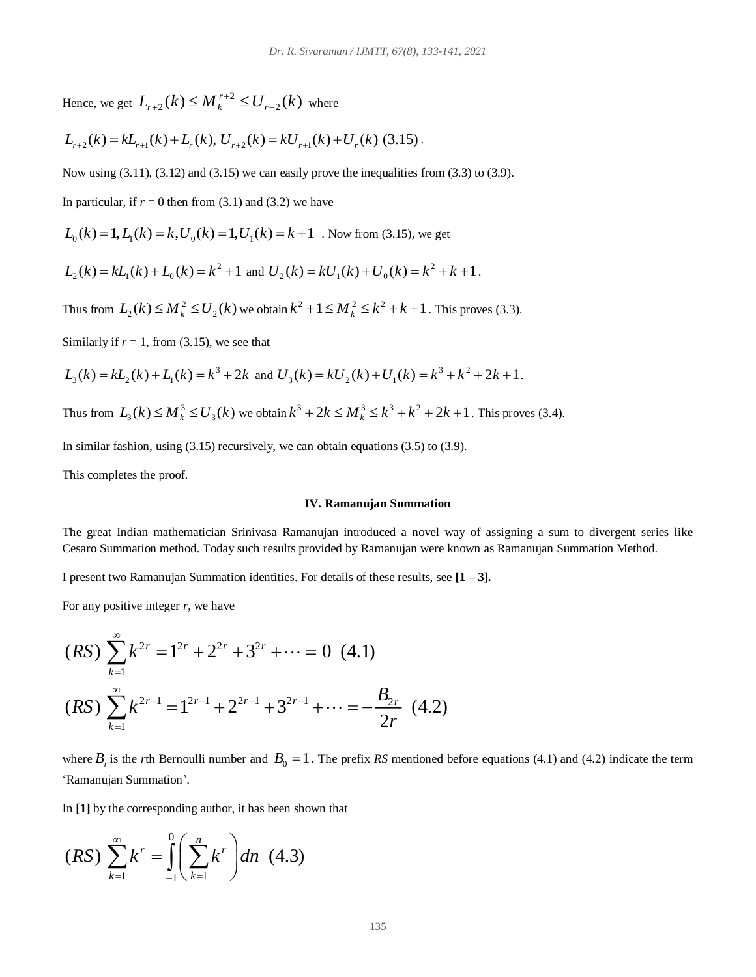Hence, we get  $L_{r+2}(k) \leq M_r^{r+2}$  $L_{r+2}(k) \leq M_k^{r+2} \leq U_{r+2}(k)$  $w_{k+2}(k) \leq M_k^{r+2} \leq U_{r+2}(k)$  where

$$
L_{r+2}(k) = kL_{r+1}(k) + L_r(k), \ U_{r+2}(k) = kU_{r+1}(k) + U_r(k)
$$
 (3.15).

Now using  $(3.11)$ ,  $(3.12)$  and  $(3.15)$  we can easily prove the inequalities from  $(3.3)$  to  $(3.9)$ .

In particular, if  $r = 0$  then from (3.1) and (3.2) we have

in particular, if  $r = 0$  then from (3.1) and (3.2) we have<br> $L_0(k) = 1, L_1(k) = k, U_0(k) = 1, U_1(k) = k + 1$ . Now from (3.15), we get

$$
L_2(k) = kL_1(k) + L_0(k) = k^2 + 1
$$
 and  $U_2(k) = kU_1(k) + U_0(k) = k^2 + k + 1$ .

Thus from  $L_2(k) \leq M_k^2$  $L_2(k) \le M_k^2 \le U_2(k)$  we obtain  $k^2 + 1 \le M_k^2 \le k^2 + k + 1$ . This proves (3.3).

Similarly if  $r = 1$ , from (3.15), we see that

$$
L_3(k) = kL_2(k) + L_1(k) = k^3 + 2k \text{ and } U_3(k) = kU_2(k) + U_1(k) = k^3 + k^2 + 2k + 1.
$$

Thus from  $L_3(k) \le M_k^3 \le U_3(k)$  we obtain  $k^3 + 2k \le M_k^3 \le k^3 + k^2 + 2k + 1$ . This proves (3.4).

In similar fashion, using (3.15) recursively, we can obtain equations (3.5) to (3.9).

This completes the proof.

#### **IV. Ramanujan Summation**

The great Indian mathematician Srinivasa Ramanujan introduced a novel way of assigning a sum to divergent series like Cesaro Summation method. Today such results provided by Ramanujan were known as Ramanujan Summation Method.

I present two Ramanujan Summation identities. For details of these results, see **[1 – 3].** 

For any positive integer *r*, we have

$$
(RS) \sum_{k=1}^{\infty} k^{2r} = 1^{2r} + 2^{2r} + 3^{2r} + \dots = 0 \quad (4.1)
$$
  

$$
(RS) \sum_{k=1}^{\infty} k^{2r-1} = 1^{2r-1} + 2^{2r-1} + 3^{2r-1} + \dots = -\frac{B_{2r}}{2r} \quad (4.2)
$$

where  $B_r$  is the *r*th Bernoulli number and  $B_0 = 1$ . The prefix RS mentioned before equations (4.1) and (4.2) indicate the term 'Ramanujan Summation'.

In **[1]** by the corresponding author, it has been shown that

$$
(RS)\sum_{k=1}^{\infty}k^{r}=\int_{-1}^{0}\left(\sum_{k=1}^{n}k^{r}\right)dn \quad (4.3)
$$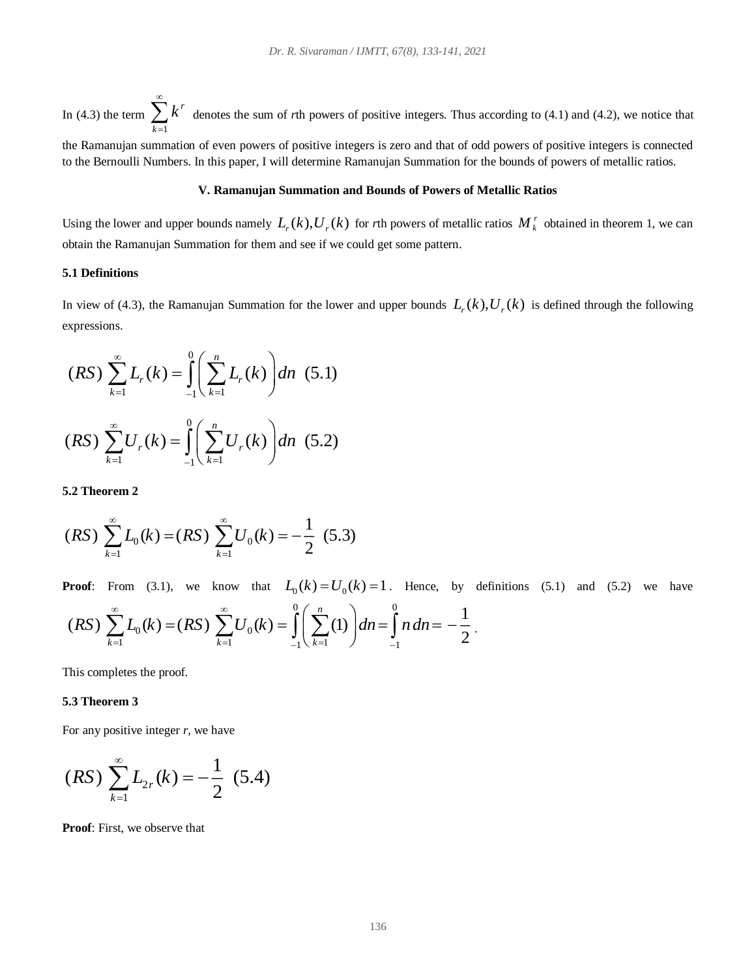In (4.3) the term  $\sum k^r$ 1 *k*  $\sum\limits_{ }^{ \infty}$ denotes the sum of *r*th powers of positive integers. Thus according to (4.1) and (4.2), we notice that

the Ramanujan summation of even powers of positive integers is zero and that of odd powers of positive integers is connected to the Bernoulli Numbers. In this paper, I will determine Ramanujan Summation for the bounds of powers of metallic ratios.

## **V. Ramanujan Summation and Bounds of Powers of Metallic Ratios**

Using the lower and upper bounds namely  $L_r(k)$ ,  $U_r(k)$  for rth powers of metallic ratios  $M_k^r$  obtained in theorem 1, we can obtain the Ramanujan Summation for them and see if we could get some pattern.

#### **5.1 Definitions**

In view of (4.3), the Ramanujan Summation for the lower and upper bounds  $L_r(k)$ ,  $U_r(k)$  is defined through the following expressions.

$$
(RS) \sum_{k=1}^{\infty} L_r(k) = \int_{-1}^{0} \left( \sum_{k=1}^{n} L_r(k) \right) dn \quad (5.1)
$$

$$
(RS) \sum_{k=1}^{\infty} U_r(k) = \int_{-1}^{0} \left( \sum_{k=1}^{n} U_r(k) \right) dn \quad (5.2)
$$

**5.2 Theorem 2** 

$$
(RS) \sum_{k=1}^{\infty} L_0(k) = (RS) \sum_{k=1}^{\infty} U_0(k) = -\frac{1}{2} (5.3)
$$

**Proof**: From (3.1), we know that  $L_0(k) = U_0(k) = 1$ . Hence, by definitions (5.1) and (5.2) we have  $0 \; / \;$   $\sim$  0  $0^{(N)}$  (iv) /  $0^{(N)}$ 1  $k=1$   $-1 \ k=1$   $-1$ 1  $(RS)$   $\sum L_0(k) = (RS)$   $\sum U_0(k) = | \sum (1)$ 2  $k=1$   $k=1$   $k=1$   $k=1$ *RS*  $\sum L_n(k) = (RS) \sum U_n(k) = || \sum (1) | dn = | ndn$  $\infty$  . The contract of  $\infty$   $\sum_{k=1}^{\infty} L_0(k) = (RS) \sum_{k=1}^{\infty} U_0(k) = \int_{-1}^{0} \left( \sum_{k=1}^{n} (1) \right) dn = \int_{-1}^{0} n \, dn = -1$ .

This completes the proof.

#### **5.3 Theorem 3**

For any positive integer *r*, we have

$$
(RS)\sum_{k=1}^{\infty}L_{2r}(k)=-\frac{1}{2}(5.4)
$$

**Proof**: First, we observe that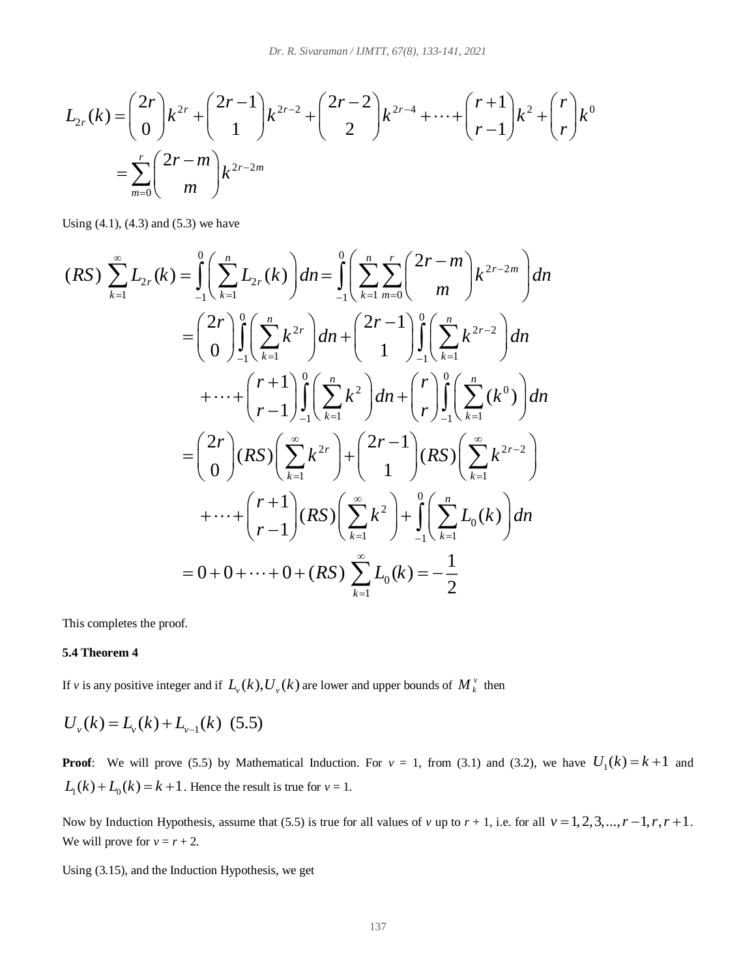$$
L_{2r}(k) = {2r \choose 0} k^{2r} + {2r-1 \choose 1} k^{2r-2} + {2r-2 \choose 2} k^{2r-4} + \dots + {r+1 \choose r-1} k^2 + {r \choose r} k^0
$$
  
= 
$$
\sum_{m=0}^r {2r-m \choose m} k^{2r-2m}
$$

Using  $(4.1)$ ,  $(4.3)$  and  $(5.3)$  we have

$$
(RS) \sum_{k=1}^{\infty} L_{2r}(k) = \int_{-1}^{0} \left( \sum_{k=1}^{n} L_{2r}(k) \right) dn = \int_{-1}^{0} \left( \sum_{k=1}^{n} \sum_{m=0}^{r} \binom{2r-m}{m} k^{2r-2m} \right) dn
$$
  
\n
$$
= \binom{2r}{0} \int_{-1}^{0} \left( \sum_{k=1}^{n} k^{2r} \right) dn + \binom{2r-1}{1} \int_{-1}^{0} \left( \sum_{k=1}^{n} k^{2r-2} \right) dn
$$
  
\n
$$
+ \cdots + \binom{r+1}{r-1} \int_{-1}^{0} \left( \sum_{k=1}^{n} k^{2} \right) dn + \binom{r}{r} \int_{-1}^{0} \left( \sum_{k=1}^{n} (k^{0}) \right) dn
$$
  
\n
$$
= \binom{2r}{0} (RS) \left( \sum_{k=1}^{\infty} k^{2r} \right) + \binom{2r-1}{1} (RS) \left( \sum_{k=1}^{\infty} k^{2r-2} \right)
$$
  
\n
$$
+ \cdots + \binom{r+1}{r-1} (RS) \left( \sum_{k=1}^{\infty} k^{2} \right) + \int_{-1}^{0} \left( \sum_{k=1}^{n} L_{0}(k) \right) dn
$$
  
\n
$$
= 0 + 0 + \cdots + 0 + (RS) \sum_{k=1}^{\infty} L_{0}(k) = -\frac{1}{2}
$$

This completes the proof.

## **5.4 Theorem 4**

If *v* is any positive integer and if  $L_v(k)$ ,  $U_v(k)$  are lower and upper bounds of  $M_k^v$  then

$$
U_{v}(k) = L_{v}(k) + L_{v-1}(k) \tag{5.5}
$$

**Proof**: We will prove (5.5) by Mathematical Induction. For  $v = 1$ , from (3.1) and (3.2), we have  $U_1(k) = k+1$  and  $L_1(k) + L_0(k) = k + 1$ . Hence the result is true for  $v = 1$ .

Now by Induction Hypothesis, assume that (5.5) is true for all values of *v* up to  $r + 1$ , i.e. for all  $v = 1, 2, 3, ..., r - 1, r, r + 1$ . We will prove for  $v = r + 2$ .

Using (3.15), and the Induction Hypothesis, we get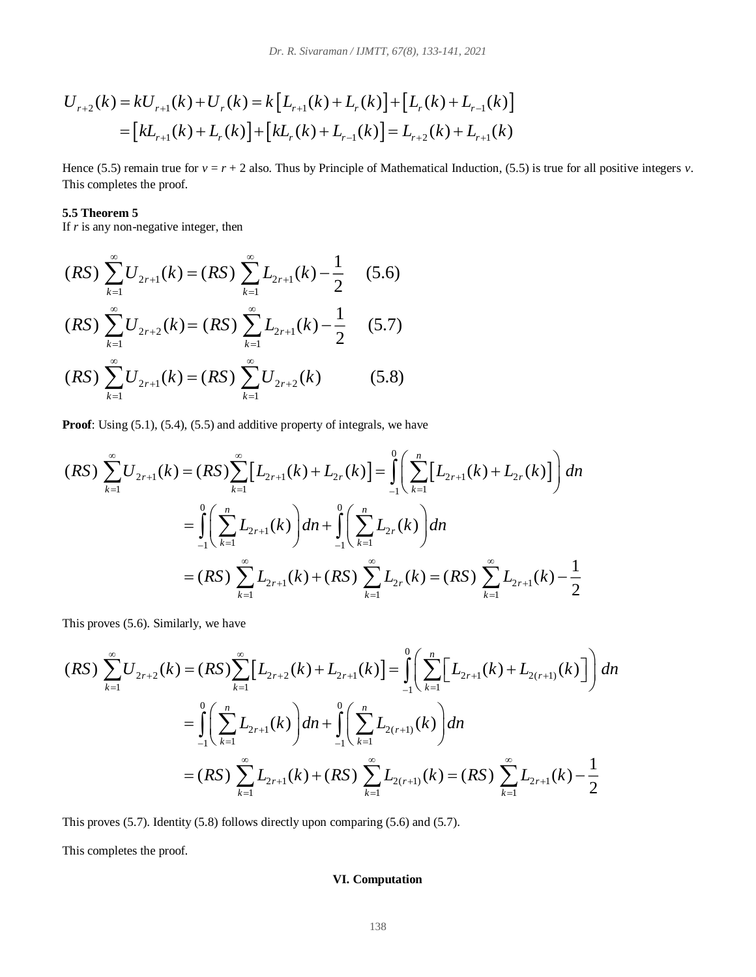$$
U_{r+2}(k) = kU_{r+1}(k) + U_r(k) = k \left[L_{r+1}(k) + L_r(k)\right] + \left[L_r(k) + L_{r-1}(k)\right]
$$
  
= 
$$
\left[kL_{r+1}(k) + L_r(k)\right] + \left[kL_r(k) + L_{r-1}(k)\right] = L_{r+2}(k) + L_{r+1}(k)
$$

Hence (5.5) remain true for  $v = r + 2$  also. Thus by Principle of Mathematical Induction, (5.5) is true for all positive integers *v*. This completes the proof.

## **5.5 Theorem 5**

If *r* is any non-negative integer, then

$$
(RS) \sum_{k=1}^{\infty} U_{2r+1}(k) = (RS) \sum_{k=1}^{\infty} L_{2r+1}(k) - \frac{1}{2}
$$
(5.6)  

$$
(RS) \sum_{k=1}^{\infty} U_{2r+2}(k) = (RS) \sum_{k=1}^{\infty} L_{2r+1}(k) - \frac{1}{2}
$$
(5.7)  

$$
(RS) \sum_{k=1}^{\infty} U_{2r+1}(k) = (RS) \sum_{k=1}^{\infty} U_{2r+2}(k)
$$
(5.8)

**Proof**: Using (5.1), (5.4), (5.5) and additive property of integrals, we have

$$
(RS) \sum_{k=1}^{\infty} U_{2r+1}(k) = (RS) \sum_{k=1}^{\infty} \Big[ L_{2r+1}(k) + L_{2r}(k) \Big] = \int_{-1}^{0} \Bigg( \sum_{k=1}^{n} \Big[ L_{2r+1}(k) + L_{2r}(k) \Big] \Bigg) dh
$$
  

$$
= \int_{-1}^{0} \Bigg( \sum_{k=1}^{n} L_{2r+1}(k) \Bigg) dn + \int_{-1}^{0} \Bigg( \sum_{k=1}^{n} L_{2r}(k) \Bigg) dn
$$
  

$$
= (RS) \sum_{k=1}^{\infty} L_{2r+1}(k) + (RS) \sum_{k=1}^{\infty} L_{2r}(k) = (RS) \sum_{k=1}^{\infty} L_{2r+1}(k) - \frac{1}{2}
$$

This proves (5.6). Similarly, we have

$$
(RS) \sum_{k=1}^{\infty} U_{2r+2}(k) = (RS) \sum_{k=1}^{\infty} \left[ L_{2r+2}(k) + L_{2r+1}(k) \right] = \int_{-1}^{0} \left( \sum_{k=1}^{n} \left[ L_{2r+1}(k) + L_{2(r+1)}(k) \right] \right) dn
$$
  

$$
= \int_{-1}^{0} \left( \sum_{k=1}^{n} L_{2r+1}(k) \right) dn + \int_{-1}^{0} \left( \sum_{k=1}^{n} L_{2(r+1)}(k) \right) dn
$$
  

$$
= (RS) \sum_{k=1}^{\infty} L_{2r+1}(k) + (RS) \sum_{k=1}^{\infty} L_{2(r+1)}(k) = (RS) \sum_{k=1}^{\infty} L_{2r+1}(k) - \frac{1}{2}
$$

This proves (5.7). Identity (5.8) follows directly upon comparing (5.6) and (5.7).

This completes the proof.

# **VI. Computation**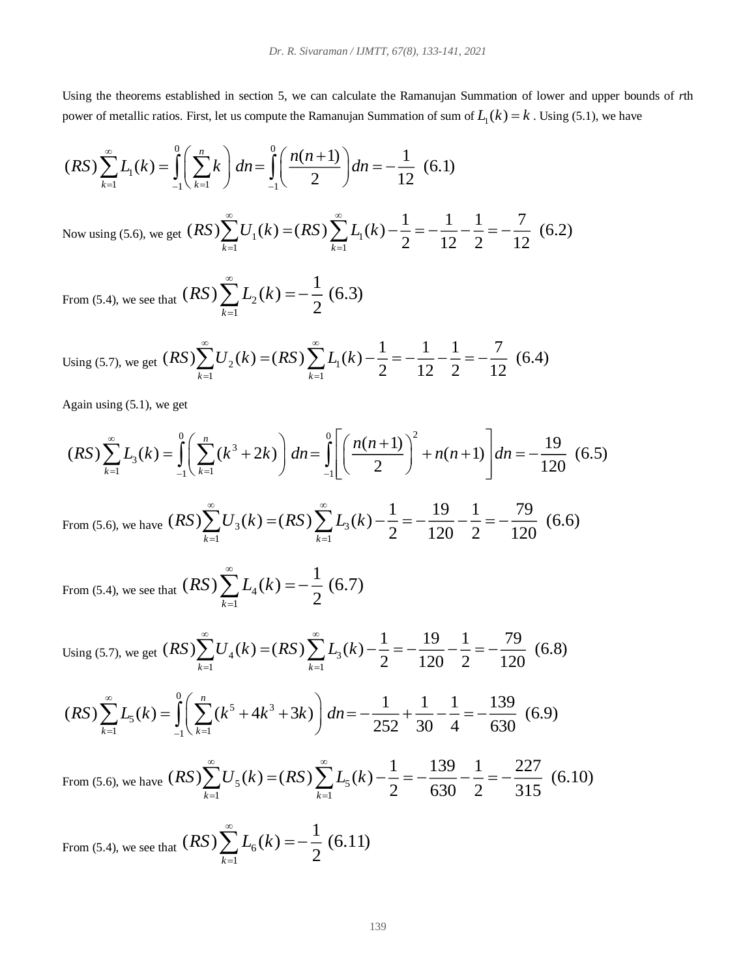Using the theorems established in section 5, we can calculate the Ramanujan Summation of lower and upper bounds of *r*th power of metallic ratios. First, let us compute the Ramanujan Summation of sum of  $L_1(k) = k$ . Using (5.1), we have

$$
(RS)\sum_{k=1}^{\infty} L_1(k) = \int_{-1}^{0} \left(\sum_{k=1}^{n} k\right) dn = \int_{-1}^{0} \left(\frac{n(n+1)}{2}\right) dn = -\frac{1}{12} \quad (6.1)
$$
  
Now using (5.6), we get  $(RS)\sum_{k=1}^{\infty} U_1(k) = (RS)\sum_{k=1}^{\infty} L_1(k) - \frac{1}{2} = -\frac{1}{12} - \frac{1}{2} = -\frac{7}{12} \quad (6.2)$ 

From (5.4), we see that  $(\mathbf{A} \mathbf{D}) \sum L_2$ 1  $(RS)$   $\sum L_2(k) = -\frac{1}{2}(6.3)$  $\sum_{k=1}^{\infty}$  2 2 2 *RS L k*  $\infty$ Ξ  $\sum L_{2}(k) = -$ 

From (5.4), we see that 
$$
(RS) \sum_{k=1}^{\infty} L_2(k) = -\frac{1}{2} (6.3)
$$
  
Using (5.7), we get  $(RS) \sum_{k=1}^{\infty} U_2(k) = (RS) \sum_{k=1}^{\infty} L_1(k) - \frac{1}{2} = -\frac{1}{12} - \frac{1}{2} = -\frac{7}{12} (6.4)$ 

Again using (5.1), we get

$$
(RS)\sum_{k=1}^{\infty} L_3(k) = \int_{-1}^{0} \left( \sum_{k=1}^{n} (k^3 + 2k) \right) dn = \int_{-1}^{0} \left[ \left( \frac{n(n+1)}{2} \right)^2 + n(n+1) \right] dn = -\frac{19}{120} \tag{6.5}
$$

From (5.6), we have  $(K3) \sum U_3(K) = (K3) \sum L_3$ 1  $k=1$  $(RS)\sum_{k=1}^{\infty}U_{3}(k)=(RS)\sum_{k=1}^{\infty}L_{3}(k)-\frac{1}{2}=-\frac{19}{100}=\frac{1}{100}=-\frac{79}{100}$  (6.6)  $\sum_{k=1}^{\infty}$   $\sum_{k=1}^{\infty}$   $\sum_{k=1}^{\infty}$   $\sum_{k=1}^{\infty}$  120 2 120  $R(S)$   $\sum U(x(k) = (RS)$   $\sum L(x(k))$  $\infty$   $\infty$  $\sum_{k=1} U_3(k) = (RS) \sum_{k=1} L_3(k) - \frac{1}{2} = -\frac{19}{120} - \frac{1}{2} = -$ 

From (5.4), we see that  $(\mathbf{A} \mathbf{D}) \sum L_4$ 1 1  $(RS)$   $\sum L_4(k) = -\frac{1}{2}(6.7)$  $\sum_{k=1}$  4. 2  $RS$   $\sum L_i(k)$ ∞  $\sum_{k=1} L_4(k) = -$ 

From (5.4), we see that 
$$
(RS) \sum_{k=1}^{\infty} L_4(k) = -\frac{1}{2} (6.7)
$$
  
\nUsing (5.7), we get  $(RS) \sum_{k=1}^{\infty} U_4(k) = (RS) \sum_{k=1}^{\infty} L_3(k) - \frac{1}{2} = -\frac{19}{120} - \frac{1}{2} = -\frac{79}{120} (6.8)$   
\n $(RS) \sum_{k=1}^{\infty} L_5(k) = \int_0^0 \left( \sum_{k=1}^n (k^5 + 4k^3 + 3k) \right) dn = -\frac{1}{252} + \frac{1}{20} - \frac{1}{4} = -\frac{139}{520} (6.9)$ 

Using (5.7), we get 
$$
(RS)\sum_{k=1}^{\infty} U_4(k) = (RS)\sum_{k=1}^{\infty} L_3(k) - \frac{1}{2} = -\frac{19}{120} - \frac{1}{2} = -\frac{79}{120}
$$
 (6.8  

$$
(RS)\sum_{k=1}^{\infty} L_5(k) = \int_{-1}^{0} \left(\sum_{k=1}^{n} (k^5 + 4k^3 + 3k)\right) dn = -\frac{1}{252} + \frac{1}{30} - \frac{1}{4} = -\frac{139}{630}
$$
 (6.9)

From (5.6), we have 
$$
(RS)\sum_{k=1}^{\infty} U_5(k) = (RS)\sum_{k=1}^{\infty} L_5(k) - \frac{1}{2} = -\frac{139}{630} - \frac{1}{2} = -\frac{227}{315}
$$
 (6.10)

From (5.4), we see that  $(\mathbf{A}^{\mathbf{D}})\sum_{k=0}^{\infty}L_{6}$ 1 1  $(RS)$   $\sum_{k}$   $(k)$  = - - (6.11)  $\sum_{k=1}^{\infty}$  <sup>0</sup>  $\leq$  2  $RS$   $\sum L(k$  $\infty$ Ξ  $\sum L_{6}(k) = -$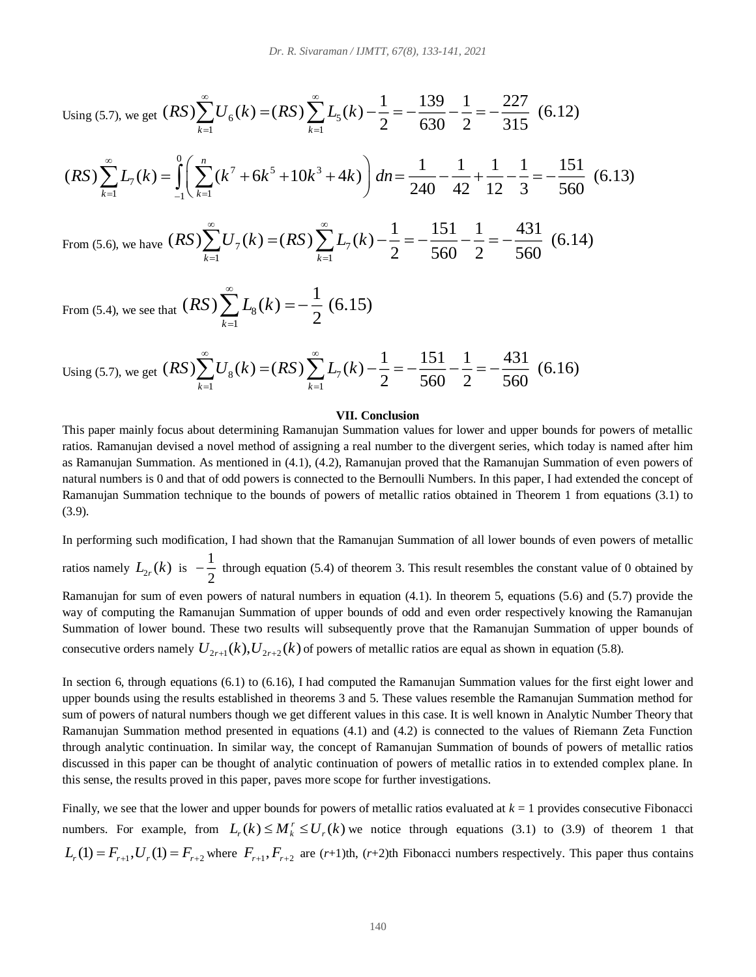Using (5.7), we get 
$$
(RS)\sum_{k=1}^{\infty}U_6(k) = (RS)\sum_{k=1}^{\infty}L_5(k) - \frac{1}{2} = -\frac{139}{630} - \frac{1}{2} = -\frac{227}{315}
$$
 (6.12)  
\n $(RS)\sum_{k=1}^{\infty}L_7(k) = \int_{-1}^{0} \left(\sum_{k=1}^n (k^7 + 6k^5 + 10k^3 + 4k)\right) dn = \frac{1}{240} - \frac{1}{42} + \frac{1}{12} - \frac{1}{3} = -\frac{151}{560}$  (6.13)  
\nFrom (5.6), we have  $(RS)\sum_{k=1}^{\infty}U_7(k) = (RS)\sum_{k=1}^{\infty}L_7(k) - \frac{1}{2} = -\frac{151}{560} - \frac{1}{2} = -\frac{431}{560}$  (6.14)

From (5.4), we see that  $(\mathbf{A}^{\mathbf{D}})\sum_{k=1}^{\infty}L_{8}$ 1 1  $(RS)$   $\sum k(k) = -\frac{1}{2}(6.15)$  $\sum_{k=1}^{\infty}$  <sup>8</sup>  $\left( \begin{array}{cc} 2 \end{array} \right)$ *RS L k*  $\sum_{k=1}^{\infty} L_{8}(k) = -$ 

 $\overline{k=1}$ 

1  $k=1$ 

Using (5.7), we get 
$$
(RS)\sum_{k=1}^{\infty}U_8(k) = (RS)\sum_{k=1}^{\infty}L_7(k) - \frac{1}{2} = -\frac{151}{560} - \frac{1}{2} = -\frac{431}{560}
$$
 (6.16)

#### **VII. Conclusion**

This paper mainly focus about determining Ramanujan Summation values for lower and upper bounds for powers of metallic ratios. Ramanujan devised a novel method of assigning a real number to the divergent series, which today is named after him as Ramanujan Summation. As mentioned in (4.1), (4.2), Ramanujan proved that the Ramanujan Summation of even powers of natural numbers is 0 and that of odd powers is connected to the Bernoulli Numbers. In this paper, I had extended the concept of Ramanujan Summation technique to the bounds of powers of metallic ratios obtained in Theorem 1 from equations (3.1) to (3.9).

In performing such modification, I had shown that the Ramanujan Summation of all lower bounds of even powers of metallic ratios namely  $L_{2r}(k)$  is  $-\frac{1}{2}$ 

 $-\frac{1}{2}$  through equation (5.4) of theorem 3. This result resembles the constant value of 0 obtained by Ramanujan for sum of even powers of natural numbers in equation (4.1). In theorem 5, equations (5.6) and (5.7) provide the way of computing the Ramanujan Summation of upper bounds of odd and even order respectively knowing the Ramanujan Summation of lower bound. These two results will subsequently prove that the Ramanujan Summation of upper bounds of consecutive orders namely  $U_{2r+1}(k)$ ,  $U_{2r+2}(k)$  of powers of metallic ratios are equal as shown in equation (5.8).

In section 6, through equations (6.1) to (6.16), I had computed the Ramanujan Summation values for the first eight lower and upper bounds using the results established in theorems 3 and 5. These values resemble the Ramanujan Summation method for sum of powers of natural numbers though we get different values in this case. It is well known in Analytic Number Theory that Ramanujan Summation method presented in equations (4.1) and (4.2) is connected to the values of Riemann Zeta Function through analytic continuation. In similar way, the concept of Ramanujan Summation of bounds of powers of metallic ratios discussed in this paper can be thought of analytic continuation of powers of metallic ratios in to extended complex plane. In this sense, the results proved in this paper, paves more scope for further investigations.

Finally, we see that the lower and upper bounds for powers of metallic ratios evaluated at  $k = 1$  provides consecutive Fibonacci numbers. For example, from  $L_r(k) \le M_k^r \le U_r(k)$  we notice through equations (3.1) to (3.9) of theorem 1 that  $L_r(1) = F_{r+1}$ ,  $U_r(1) = F_{r+2}$  where  $F_{r+1}$ ,  $F_{r+2}$  are (*r*+1)th, (*r*+2)th Fibonacci numbers respectively. This paper thus contains